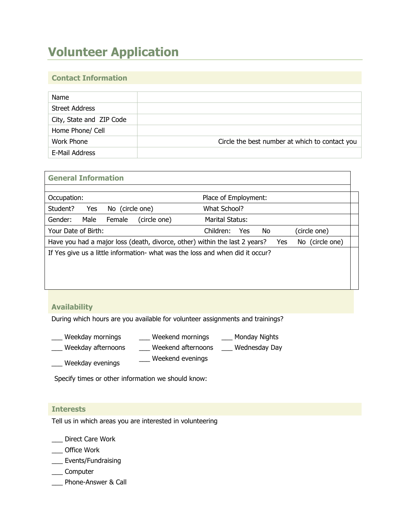# **Volunteer Application**

## **Contact Information**

| Name                     |                                                |
|--------------------------|------------------------------------------------|
| <b>Street Address</b>    |                                                |
| City, State and ZIP Code |                                                |
| Home Phone/ Cell         |                                                |
| <b>Work Phone</b>        | Circle the best number at which to contact you |
| E-Mail Address           |                                                |

| <b>General Information</b>                                                                           |                                 |              |  |  |
|------------------------------------------------------------------------------------------------------|---------------------------------|--------------|--|--|
|                                                                                                      |                                 |              |  |  |
| Place of Employment:<br>Occupation:                                                                  |                                 |              |  |  |
| No (circle one)<br>Student?<br>Yes                                                                   | What School?                    |              |  |  |
| Male<br>Gender:<br>Female                                                                            | Marital Status:<br>(circle one) |              |  |  |
| Your Date of Birth:                                                                                  | No<br>Children:<br>Yes          | (circle one) |  |  |
| Have you had a major loss (death, divorce, other) within the last 2 years?<br>No (circle one)<br>Yes |                                 |              |  |  |
| If Yes give us a little information- what was the loss and when did it occur?                        |                                 |              |  |  |
|                                                                                                      |                                 |              |  |  |
|                                                                                                      |                                 |              |  |  |
|                                                                                                      |                                 |              |  |  |

### **Availability**

During which hours are you available for volunteer assignments and trainings?

- \_\_\_ Weekday mornings \_\_\_ Weekend mornings \_\_\_ Monday Nights
- \_\_\_ Weekday afternoons \_\_\_ Weekend afternoons \_\_\_ Wednesday Day
- \_\_\_ Weekday evenings \_\_\_ Weekend evenings
- 
- 

Specify times or other information we should know:

## **Interests**

Tell us in which areas you are interested in volunteering

Direct Care Work

- \_\_\_ Office Work
- \_\_\_ Events/Fundraising
- \_\_\_ Computer
- \_\_\_ Phone-Answer & Call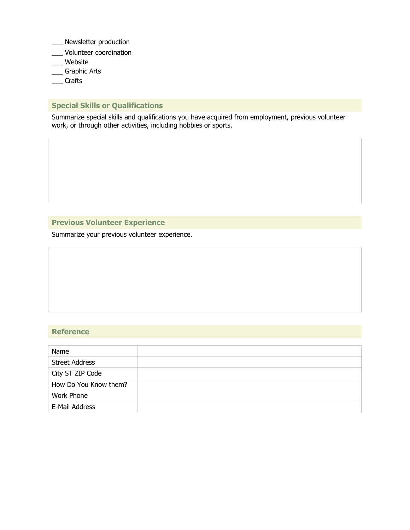- Newsletter production
- \_\_\_ Volunteer coordination
- \_\_\_ Website
- \_\_\_ Graphic Arts
- \_\_\_ Crafts

## **Special Skills or Qualifications**

Summarize special skills and qualifications you have acquired from employment, previous volunteer work, or through other activities, including hobbies or sports.

## **Previous Volunteer Experience**

Summarize your previous volunteer experience.

#### **Reference**

| Name                  |  |
|-----------------------|--|
| <b>Street Address</b> |  |
| City ST ZIP Code      |  |
| How Do You Know them? |  |
| Work Phone            |  |
| E-Mail Address        |  |